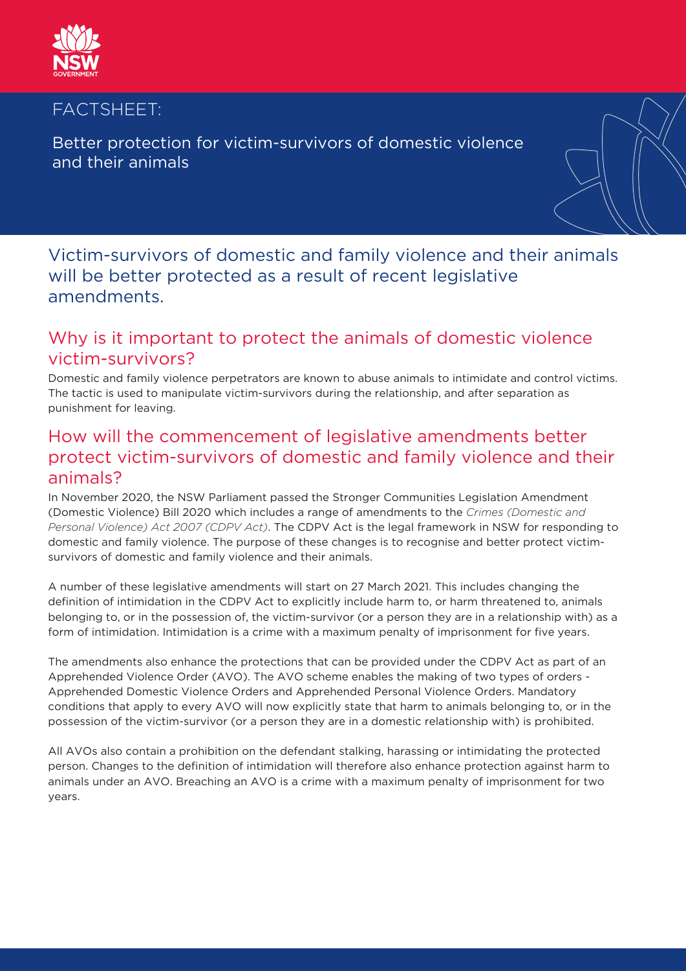

#### FACTSHEET:

Better protection for victim-survivors of domestic violence and their animals

# Victim-survivors of domestic and family violence and their animals will be better protected as a result of recent legislative amendments.

### Why is it important to protect the animals of domestic violence victim-survivors?

Domestic and family violence perpetrators are known to abuse animals to intimidate and control victims. The tactic is used to manipulate victim-survivors during the relationship, and after separation as punishment for leaving.

# How will the commencement of legislative amendments better protect victim-survivors of domestic and family violence and their animals?

In November 2020, the NSW Parliament passed the Stronger Communities Legislation Amendment (Domestic Violence) Bill 2020 which includes a range of amendments to the *Crimes (Domestic and Personal Violence) Act 2007 (CDPV Act)*. The CDPV Act is the legal framework in NSW for responding to domestic and family violence. The purpose of these changes is to recognise and better protect victimsurvivors of domestic and family violence and their animals.

A number of these legislative amendments will start on 27 March 2021. This includes changing the definition of intimidation in the CDPV Act to explicitly include harm to, or harm threatened to, animals belonging to, or in the possession of, the victim-survivor (or a person they are in a relationship with) as a form of intimidation. Intimidation is a crime with a maximum penalty of imprisonment for five years.

The amendments also enhance the protections that can be provided under the CDPV Act as part of an Apprehended Violence Order (AVO). The AVO scheme enables the making of two types of orders - Apprehended Domestic Violence Orders and Apprehended Personal Violence Orders. Mandatory conditions that apply to every AVO will now explicitly state that harm to animals belonging to, or in the possession of the victim-survivor (or a person they are in a domestic relationship with) is prohibited.

All AVOs also contain a prohibition on the defendant stalking, harassing or intimidating the protected person. Changes to the definition of intimidation will therefore also enhance protection against harm to animals under an AVO. Breaching an AVO is a crime with a maximum penalty of imprisonment for two years.